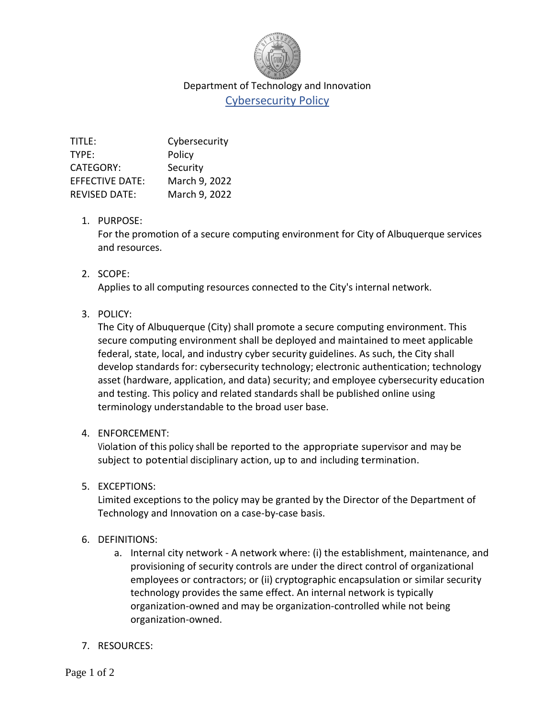

## Department of Technology and Innovation Cybersecurity Policy

| TITLE:                 | Cybersecurity |
|------------------------|---------------|
| TYPE:                  | Policy        |
| <b>CATEGORY:</b>       | Security      |
| <b>EFFECTIVE DATE:</b> | March 9, 2022 |
| <b>REVISED DATE:</b>   | March 9, 2022 |
|                        |               |

#### 1. PURPOSE:

For the promotion of a secure computing environment for City of Albuquerque services and resources.

### 2. SCOPE:

Applies to all computing resources connected to the City's internal network.

### 3. POLICY:

The City of Albuquerque (City) shall promote a secure computing environment. This secure computing environment shall be deployed and maintained to meet applicable federal, state, local, and industry cyber security guidelines. As such, the City shall develop standards for: cybersecurity technology; electronic authentication; technology asset (hardware, application, and data) security; and employee cybersecurity education and testing. This policy and related standards shall be published online using terminology understandable to the broad user base.

### 4. ENFORCEMENT:

Violation of this policy shall be reported to the appropriate supervisor and may be subject to potential disciplinary action, up to and including termination.

### 5. EXCEPTIONS:

Limited exceptions to the policy may be granted by the Director of the Department of Technology and Innovation on a case-by-case basis.

### 6. DEFINITIONS:

- a. Internal city network A network where: (i) the establishment, maintenance, and provisioning of security controls are under the direct control of organizational employees or contractors; or (ii) cryptographic encapsulation or similar security technology provides the same effect. An internal network is typically organization-owned and may be organization-controlled while not being organization-owned.
- 7. RESOURCES: